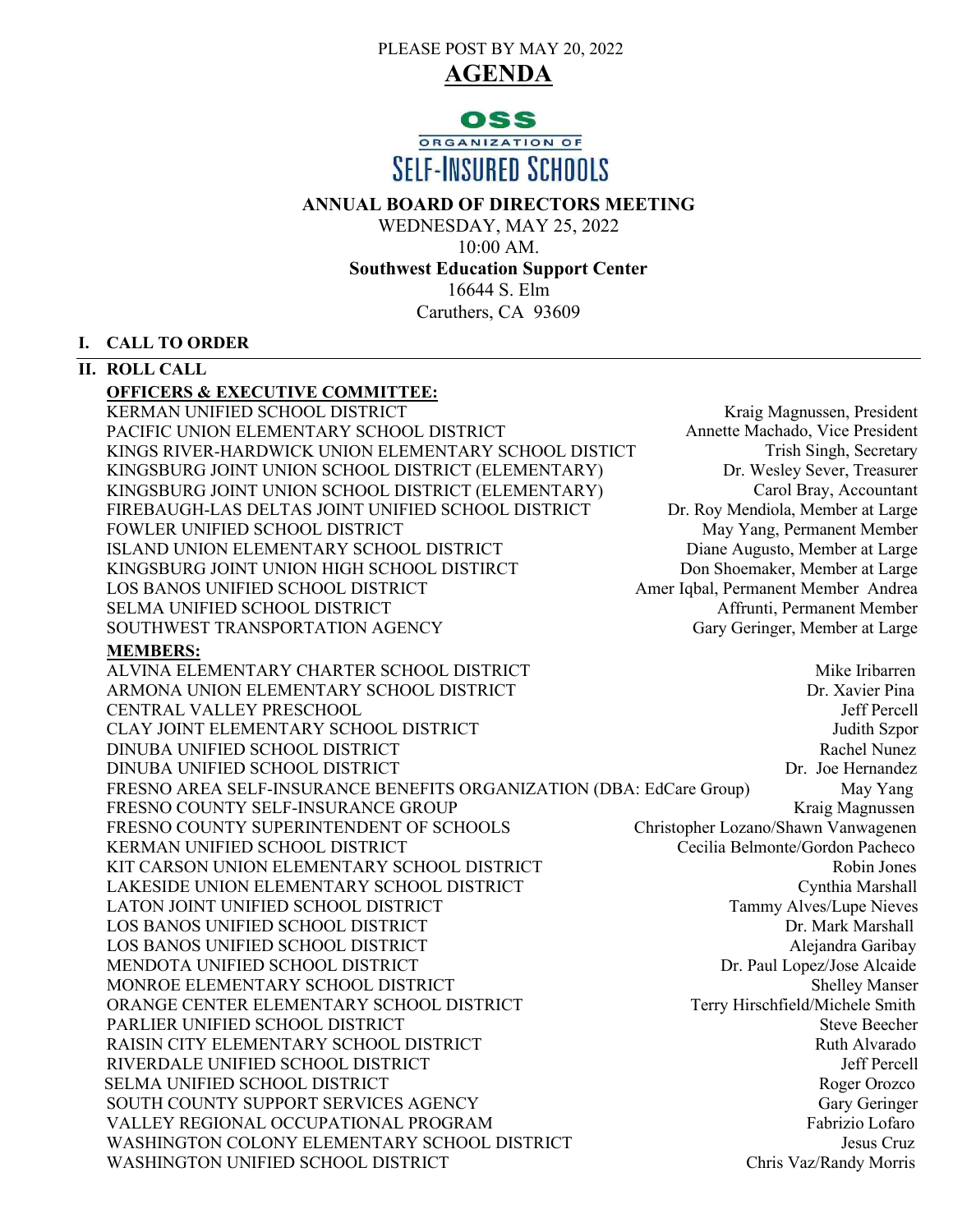PLEASE POST BY MAY 20, 2022





# **ANNUAL BOARD OF DIRECTORS MEETING**

WEDNESDAY, MAY 25, 2022 10:00 AM. **Southwest Education Support Center** 16644 S. Elm Caruthers, CA 93609

# **I. CALL TO ORDER**

# **II. ROLL CALL**

# **OFFICERS & EXECUTIVE COMMITTEE:**

KERMAN UNIFIED SCHOOL DISTRICT **Kraig Magnussen**, President PACIFIC UNION ELEMENTARY SCHOOL DISTRICT KINGS RIVER-HARDWICK UNION ELEMENTARY SCHOOL DISTICT KINGSBURG JOINT UNION SCHOOL DISTRICT (ELEMENTARY) KINGSBURG JOINT UNION SCHOOL DISTRICT (ELEMENTARY) FIREBAUGH-LAS DELTAS JOINT UNIFIED SCHOOL DISTRICT FOWLER UNIFIED SCHOOL DISTRICT ISLAND UNION ELEMENTARY SCHOOL DISTRICT KINGSBURG JOINT UNION HIGH SCHOOL DISTIRCT LOS BANOS UNIFIED SCHOOL DISTRICT SELMA UNIFIED SCHOOL DISTRICT SOUTHWEST TRANSPORTATION AGENCY

 Annette Machado, Vice President Trish Singh, Secretary Dr. Wesley Sever, Treasurer Carol Bray, Accountant Dr. Roy Mendiola, Member at Large May Yang, Permanent Member Diane Augusto, Member at Large Don Shoemaker, Member at Large Amer Iqbal, Permanent Member Andrea Affrunti, Permanent Member Gary Geringer, Member at Large

# **MEMBERS:**

ALVINA ELEMENTARY CHARTER SCHOOL DISTRICT NEWSLET MIKE Iribarren ARMONA UNION ELEMENTARY SCHOOL DISTRICT **Example 2008** Dr. Xavier Pina CENTRAL VALLEY PRESCHOOL Jeff Percell CLAY JOINT ELEMENTARY SCHOOL DISTRICT SALLO AND THE SERVICE SUPPORT OF THE SERVICE OF THE SERVICE SERVICE SERVICE SUPPORT OF THE SERVICE OF THE SERVICE SERVICE SERVICE SERVICE SERVICE SERVICE SERVICE SERVICE SERVICE SERVIC DINUBA UNIFIED SCHOOL DISTRICT Rachel Nunez DINUBA UNIFIED SCHOOL DISTRICT SERVICE SOME DR. Joe Hernandez FRESNO AREA SELF-INSURANCE BENEFITS ORGANIZATION (DBA: EdCare Group) May Yang<br>FRESNO COUNTY SELF-INSURANCE GROUP Kraig Magnussen FRESNO COUNTY SELF-INSURANCE GROUP<br>FRESNO COUNTY SUPERINTENDENT OF SCHOOLS Christopher Lozano/Shawn Vanwagenen FRESNO COUNTY SUPERINTENDENT OF SCHOOLS Christopher Lozano/Shawn Vanwagenen<br>KERMAN UNIFIED SCHOOL DISTRICT Cecilia Belmonte/Gordon Pacheco KERMAN UNIFIED SCHOOL DISTRICT KIT CARSON UNION ELEMENTARY SCHOOL DISTRICT STATES AND Robin Jones LAKESIDE UNION ELEMENTARY SCHOOL DISTRICT Cynthia Marshall LATON JOINT UNIFIED SCHOOL DISTRICT TAMES Tammy Alves/Lupe Nieves<br>
LOS BANOS UNIFIED SCHOOL DISTRICT TAMES DEL MARK Marshall LOS BANOS UNIFIED SCHOOL DISTRICT LOS BANOS UNIFIED SCHOOL DISTRICT Alejandra Garibay MENDOTA UNIFIED SCHOOL DISTRICT<br>MONROE ELEMENTARY SCHOOL DISTRICT Shelley Manser MONROE ELEMENTARY SCHOOL DISTRICT Shelley Manser<br>ORANGE CENTER ELEMENTARY SCHOOL DISTRICT Terry Hirschfield/Michele Smith ORANGE CENTER ELEMENTARY SCHOOL DISTRICT PARLIER UNIFIED SCHOOL DISTRICT STEVE BEECHER UNIFIED SCHOOL DISTRICT RAISIN CITY ELEMENTARY SCHOOL DISTRICT **Research Alvarado** Ruth Alvarado RIVERDALE UNIFIED SCHOOL DISTRICT AND SUMMER LOCAL CONTROLLER UNIFIED SCHOOL DISTRICT SELMA UNIFIED SCHOOL DISTRICT SERVICES AND ROGER ORDER AND ROGER OROZCO SOUTH COUNTY SUPPORT SERVICES AGENCY Gary Geringer VALLEY REGIONAL OCCUPATIONAL PROGRAM Fabrizio Lofaro WASHINGTON COLONY ELEMENTARY SCHOOL DISTRICT SERVICES AND LOSUS Cruz WASHINGTON UNIFIED SCHOOL DISTRICT Chris Vaz/Randy Morris Vaz/Randy Morris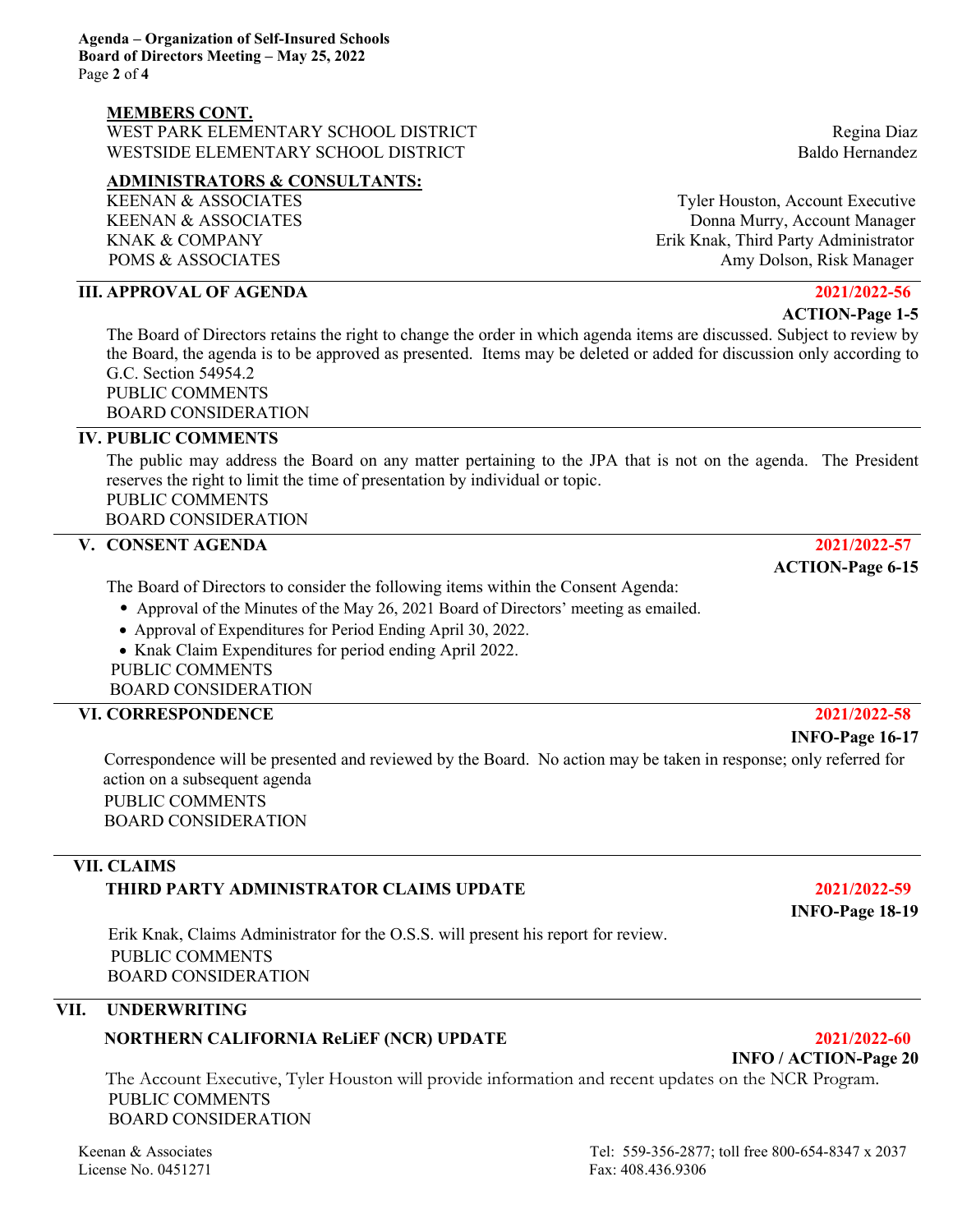## **MEMBERS CONT.**

WEST PARK ELEMENTARY SCHOOL DISTRICT NEEDS AND REGINAL REGINAL REGINAL DIAZ WESTSIDE ELEMENTARY SCHOOL DISTRICT **SUBSEX 1999** Baldo Hernandez

### **ADMINISTRATORS & CONSULTANTS:**

# **III. APPROVAL OF AGENDA 2021/2022-56**

 **ACTION-Page 1-5** The Board of Directors retains the right to change the order in which agenda items are discussed. Subject to review by the Board, the agenda is to be approved as presented. Items may be deleted or added for discussion only according to G.C. Section 54954.2

PUBLIC COMMENTS BOARD CONSIDERATION

# **IV. PUBLIC COMMENTS**

The public may address the Board on any matter pertaining to the JPA that is not on the agenda. The President reserves the right to limit the time of presentation by individual or topic. PUBLIC COMMENTS

BOARD CONSIDERATION

# **V. CONSENT AGENDA 2021/2022-57**

The Board of Directors to consider the following items within the Consent Agenda:

- Approval of the Minutes of the May 26, 2021 Board of Directors' meeting as emailed.
- Approval of Expenditures for Period Ending April 30, 2022.
- Knak Claim Expenditures for period ending April 2022.

PUBLIC COMMENTS

BOARD CONSIDERATION

# **VI. CORRESPONDENCE 2021/2022-58**

 Correspondence will be presented and reviewed by the Board. No action may be taken in response; only referred for action on a subsequent agenda PUBLIC COMMENTS

BOARD CONSIDERATION

# **VII. CLAIMS THIRD PARTY ADMINISTRATOR CLAIMS UPDATE 2021/2022-59**

Erik Knak, Claims Administrator for the O.S.S. will present his report for review. PUBLIC COMMENTS BOARD CONSIDERATION

# **VII. UNDERWRITING**

# **NORTHERN CALIFORNIA ReLiEF (NCR) UPDATE 2021/2022-60**

The Account Executive, Tyler Houston will provide information and recent updates on the NCR Program. PUBLIC COMMENTS BOARD CONSIDERATION

License No. 0451271 Fax: 408.436.9306

KEENAN & ASSOCIATES Tyler Houston, Account Executive KEENAN & ASSOCIATES **Example 2018** Donna Murry, Account Manager KNAK & COMPANY **Erik Knak, Third Party Administrator** POMS & ASSOCIATES Amy Dolson, Risk Manager

 **ACTION-Page 6-15**

### **INFO-Page 16-17**

 **INFO-Page 18-19**

# Keenan & Associates Tel: 559-356-2877; toll free 800-654-8347 x 2037

 **INFO / ACTION-Page 20**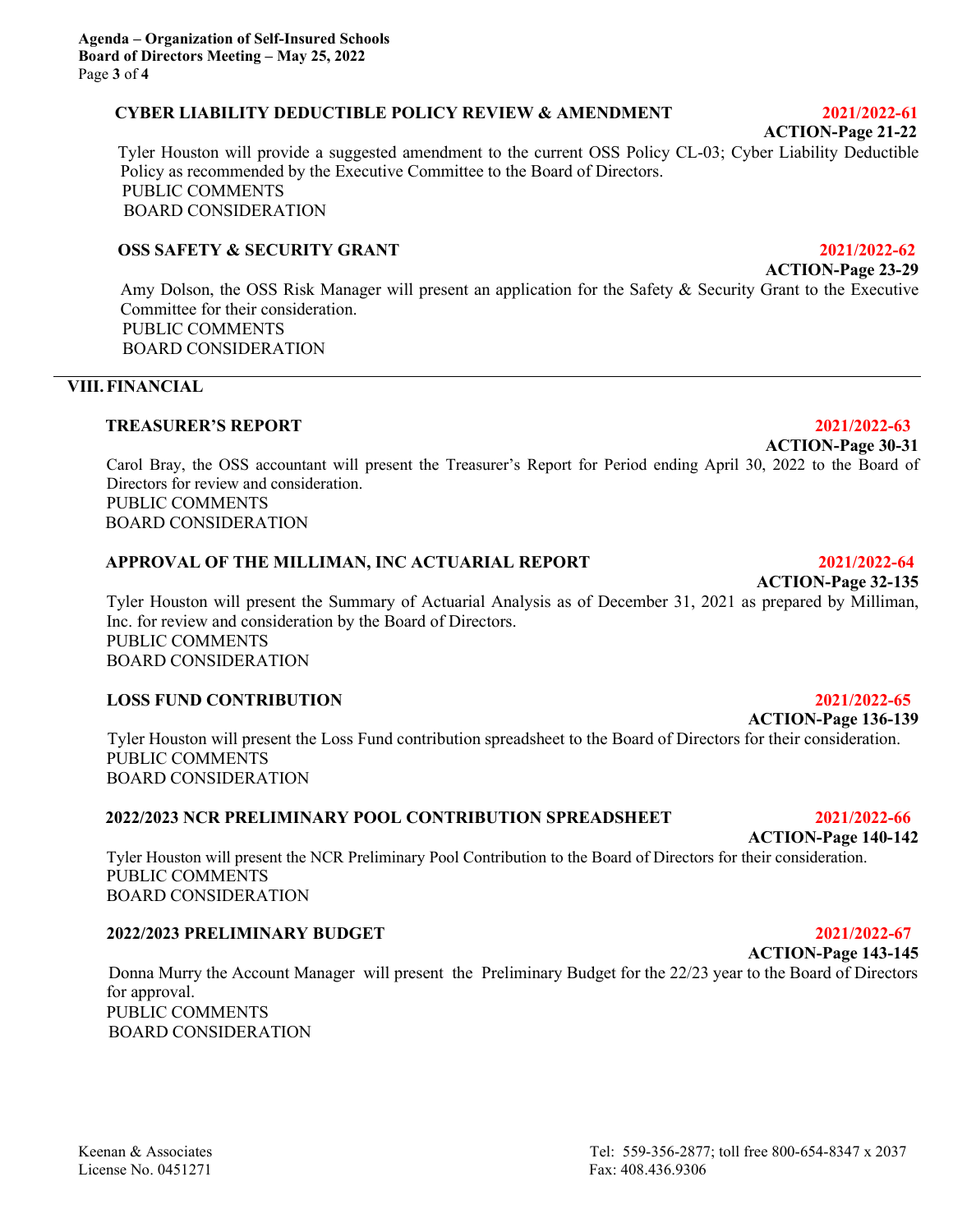# **CYBER LIABILITY DEDUCTIBLE POLICY REVIEW & AMENDMENT 2021/2022-61**

 **ACTION-Page 21-22**

Tyler Houston will provide a suggested amendment to the current OSS Policy CL-03; Cyber Liability Deductible Policy as recommended by the Executive Committee to the Board of Directors. PUBLIC COMMENTS BOARD CONSIDERATION

# **OSS SAFETY & SECURITY GRANT 2021/2022-62**

 **ACTION-Page 23-29**

Amy Dolson, the OSS Risk Manager will present an application for the Safety & Security Grant to the Executive Committee for their consideration. PUBLIC COMMENTS BOARD CONSIDERATION

# **VIII.FINANCIAL**

### **TREASURER'S REPORT 2021/2022-63**

Carol Bray, the OSS accountant will present the Treasurer's Report for Period ending April 30, 2022 to the Board of Directors for review and consideration. PUBLIC COMMENTS BOARD CONSIDERATION

# **APPROVAL OF THE MILLIMAN, INC ACTUARIAL REPORT 2021/2022-64**

Tyler Houston will present the Summary of Actuarial Analysis as of December 31, 2021 as prepared by Milliman, Inc. for review and consideration by the Board of Directors. PUBLIC COMMENTS BOARD CONSIDERATION

# **LOSS FUND CONTRIBUTION 2021/2022-65**

**ACTION-Page 136-139** Tyler Houston will present the Loss Fund contribution spreadsheet to the Board of Directors for their consideration. PUBLIC COMMENTS BOARD CONSIDERATION

# **2022/2023 NCR PRELIMINARY POOL CONTRIBUTION SPREADSHEET 2021/2022-66**

Tyler Houston will present the NCR Preliminary Pool Contribution to the Board of Directors for their consideration. PUBLIC COMMENTS BOARD CONSIDERATION

# **2022/2023 PRELIMINARY BUDGET 2021/2022-67**

 Donna Murry the Account Manager will present the Preliminary Budget for the 22/23 year to the Board of Directors for approval. PUBLIC COMMENTS BOARD CONSIDERATION

**ACTION-Page 32-135**

 **ACTION-Page 30-31**

# **ACTION-Page 140-142**

**ACTION-Page 143-145**